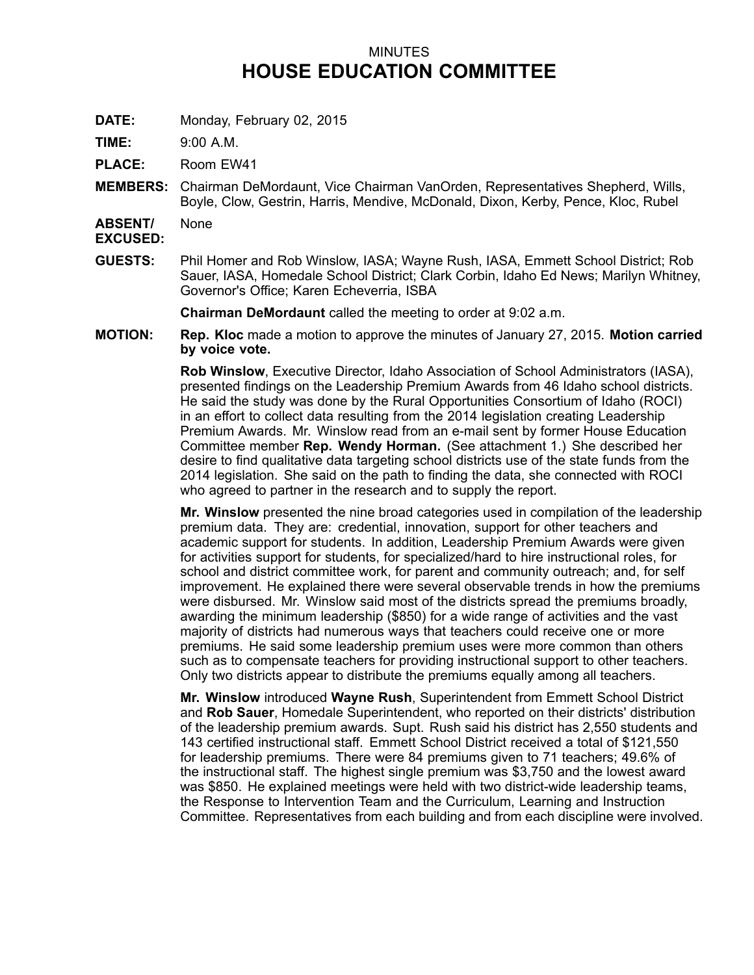## MINUTES **HOUSE EDUCATION COMMITTEE**

**DATE:** Monday, February 02, 2015

**TIME:** 9:00 A.M.

**PLACE:** Room EW41

**MEMBERS:** Chairman DeMordaunt, Vice Chairman VanOrden, Representatives Shepherd, Wills, Boyle, Clow, Gestrin, Harris, Mendive, McDonald, Dixon, Kerby, Pence, Kloc, Rubel

**ABSENT/** None

**EXCUSED:**

**GUESTS:** Phil Homer and Rob Winslow, IASA; Wayne Rush, IASA, Emmett School District; Rob Sauer, IASA, Homedale School District; Clark Corbin, Idaho Ed News; Marilyn Whitney, Governor's Office; Karen Echeverria, ISBA

**Chairman DeMordaunt** called the meeting to order at 9:02 a.m.

**MOTION: Rep. Kloc** made <sup>a</sup> motion to approve the minutes of January 27, 2015. **Motion carried by voice vote.**

> **Rob Winslow**, Executive Director, Idaho Association of School Administrators (IASA), presented findings on the Leadership Premium Awards from 46 Idaho school districts. He said the study was done by the Rural Opportunities Consortium of Idaho (ROCI) in an effort to collect data resulting from the 2014 legislation creating Leadership Premium Awards. Mr. Winslow read from an e-mail sent by former House Education Committee member **Rep. Wendy Horman.** (See attachment 1.) She described her desire to find qualitative data targeting school districts use of the state funds from the 2014 legislation. She said on the path to finding the data, she connected with ROCI who agreed to partner in the research and to supply the report.

**Mr. Winslow** presented the nine broad categories used in compilation of the leadership premium data. They are: credential, innovation, support for other teachers and academic support for students. In addition, Leadership Premium Awards were given for activities support for students, for specialized/hard to hire instructional roles, for school and district committee work, for parent and community outreach; and, for self improvement. He explained there were several observable trends in how the premiums were disbursed. Mr. Winslow said most of the districts spread the premiums broadly, awarding the minimum leadership (\$850) for <sup>a</sup> wide range of activities and the vast majority of districts had numerous ways that teachers could receive one or more premiums. He said some leadership premium uses were more common than others such as to compensate teachers for providing instructional support to other teachers. Only two districts appear to distribute the premiums equally among all teachers.

**Mr. Winslow** introduced **Wayne Rush**, Superintendent from Emmett School District and **Rob Sauer**, Homedale Superintendent, who reported on their districts' distribution of the leadership premium awards. Supt. Rush said his district has 2,550 students and 143 certified instructional staff. Emmett School District received <sup>a</sup> total of \$121,550 for leadership premiums. There were 84 premiums given to 71 teachers; 49.6% of the instructional staff. The highest single premium was \$3,750 and the lowest award was \$850. He explained meetings were held with two district-wide leadership teams, the Response to Intervention Team and the Curriculum, Learning and Instruction Committee. Representatives from each building and from each discipline were involved.